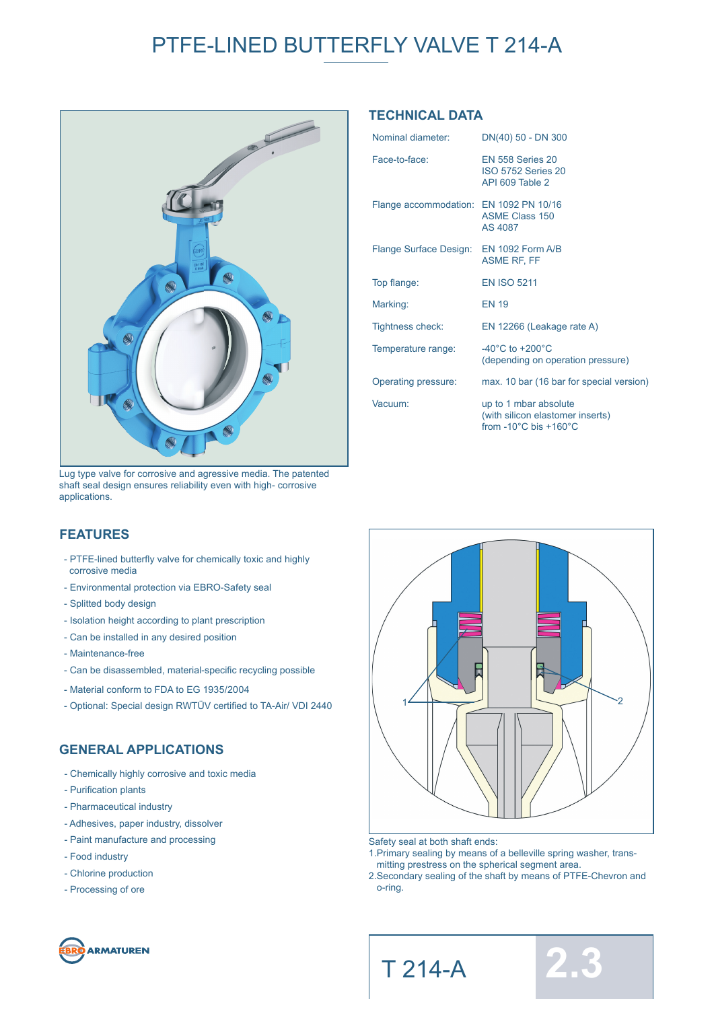# PTFE-LINED BUTTERFLY VALVE T 214-A



Lug type valve for corrosive and agressive media. The patented shaft seal design ensures reliability even with high- corrosive applications.

### **TECHNICAL DATA**

| Nominal diameter:                       | DN(40) 50 - DN 300                                                                                     |
|-----------------------------------------|--------------------------------------------------------------------------------------------------------|
| Face-to-face:                           | <b>EN 558 Series 20</b><br><b>ISO 5752 Series 20</b><br>API 609 Table 2                                |
| Flange accommodation: EN 1092 PN 10/16  | <b>ASME Class 150</b><br>AS 4087                                                                       |
| Flange Surface Design: EN 1092 Form A/B | <b>ASME RF, FF</b>                                                                                     |
| Top flange:                             | <b>EN ISO 5211</b>                                                                                     |
| Marking:                                | <b>EN 19</b>                                                                                           |
| <b>Tightness check:</b>                 | EN 12266 (Leakage rate A)                                                                              |
| Temperature range:                      | $-40^{\circ}$ C to $+200^{\circ}$ C<br>(depending on operation pressure)                               |
| Operating pressure:                     | max. 10 bar (16 bar for special version)                                                               |
| Vacuum:                                 | up to 1 mbar absolute<br>(with silicon elastomer inserts)<br>from $-10^{\circ}$ C bis $+160^{\circ}$ C |

### **FEATURES**

- PTFE-lined butterfly valve for chemically toxic and highly corrosive media
- Environmental protection via EBRO-Safety seal
- Splitted body design
- Isolation height according to plant prescription
- Can be installed in any desired position
- Maintenance-free
- Can be disassembled, material-specific recycling possible
- Material conform to FDA to EG 1935/2004
- Optional: Special design RWTÜV certified to TA-Air/ VDI 2440

#### **GENERAL APPLICATIONS**

- Chemically highly corrosive and toxic media
- Purification plants
- Pharmaceutical industry
- Adhesives, paper industry, dissolver
- Paint manufacture and processing
- Food industry
- Chlorine production
- Processing of ore





- Safety seal at both shaft ends:
- 1.Primary sealing by means of a belleville spring washer, trans mitting prestress on the spherical segment area.
- 2.Secondary sealing of the shaft by means of PTFE-Chevron and o-ring.



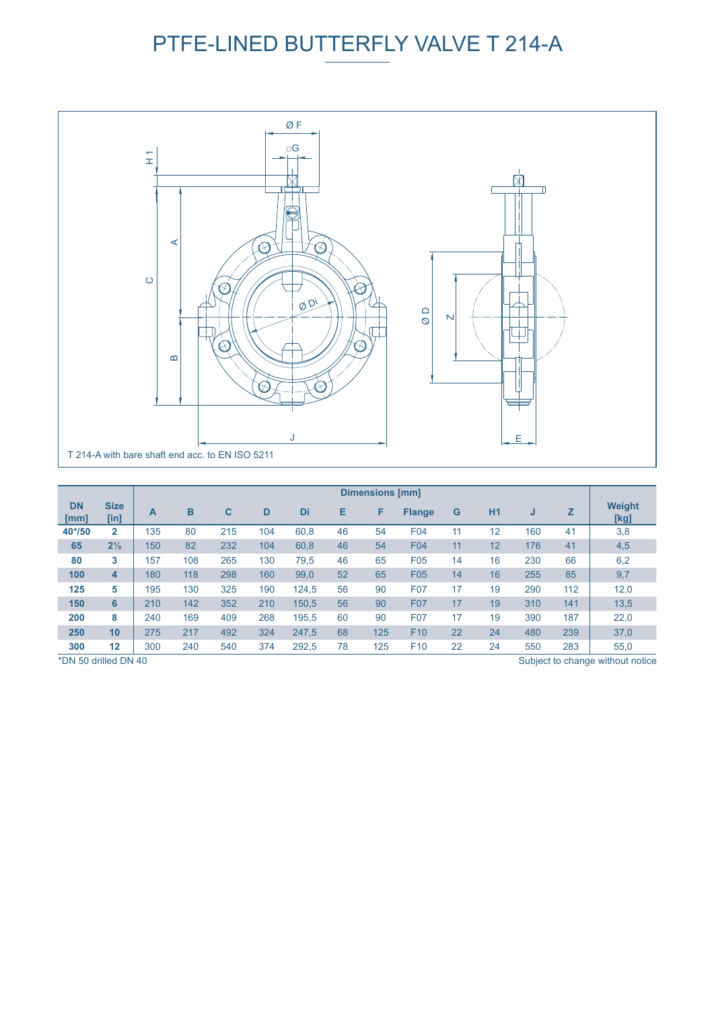# PTFE-LINED BUTTERFLY VALVE T 214-A



|                                                          |                     | <b>Dimensions [mm]</b> |     |     |     |       |    |     |                 |    |    |     |     |                       |
|----------------------------------------------------------|---------------------|------------------------|-----|-----|-----|-------|----|-----|-----------------|----|----|-----|-----|-----------------------|
| <b>DN</b><br>[mm]                                        | <b>Size</b><br>[in] | A                      | B   | C   | D   | Di    | Е  | F   | <b>Flange</b>   | G  | H1 | J   | z   | <b>Weight</b><br>[kg] |
| 40*/50                                                   | $\overline{2}$      | 135                    | 80  | 215 | 104 | 60,8  | 46 | 54  | F04             | 11 | 12 | 160 | 41  | 3,8                   |
| 65                                                       | $2\frac{1}{2}$      | 150                    | 82  | 232 | 104 | 60.8  | 46 | 54  | <b>F04</b>      | 11 | 12 | 176 | 41  | 4,5                   |
| 80                                                       | 3                   | 157                    | 108 | 265 | 130 | 79,5  | 46 | 65  | F <sub>05</sub> | 14 | 16 | 230 | 66  | 6,2                   |
| 100                                                      | 4                   | 180                    | 118 | 298 | 160 | 99,0  | 52 | 65  | F05             | 14 | 16 | 255 | 85  | 9,7                   |
| 125                                                      | 5                   | 195                    | 130 | 325 | 190 | 124,5 | 56 | 90  | F07             | 17 | 19 | 290 | 112 | 12,0                  |
| 150                                                      | 6                   | 210                    | 142 | 352 | 210 | 150.5 | 56 | 90  | <b>F07</b>      | 17 | 19 | 310 | 141 | 13,5                  |
| 200                                                      | 8                   | 240                    | 169 | 409 | 268 | 195.5 | 60 | 90  | F07             | 17 | 19 | 390 | 187 | 22,0                  |
| 250                                                      | 10                  | 275                    | 217 | 492 | 324 | 247,5 | 68 | 125 | F <sub>10</sub> | 22 | 24 | 480 | 239 | 37,0                  |
| 300                                                      | 12                  | 300                    | 240 | 540 | 374 | 292,5 | 78 | 125 | F <sub>10</sub> | 22 | 24 | 550 | 283 | 55,0                  |
| *DN 50 drilled DN 40<br>Subject to change without notice |                     |                        |     |     |     |       |    |     |                 |    |    |     |     |                       |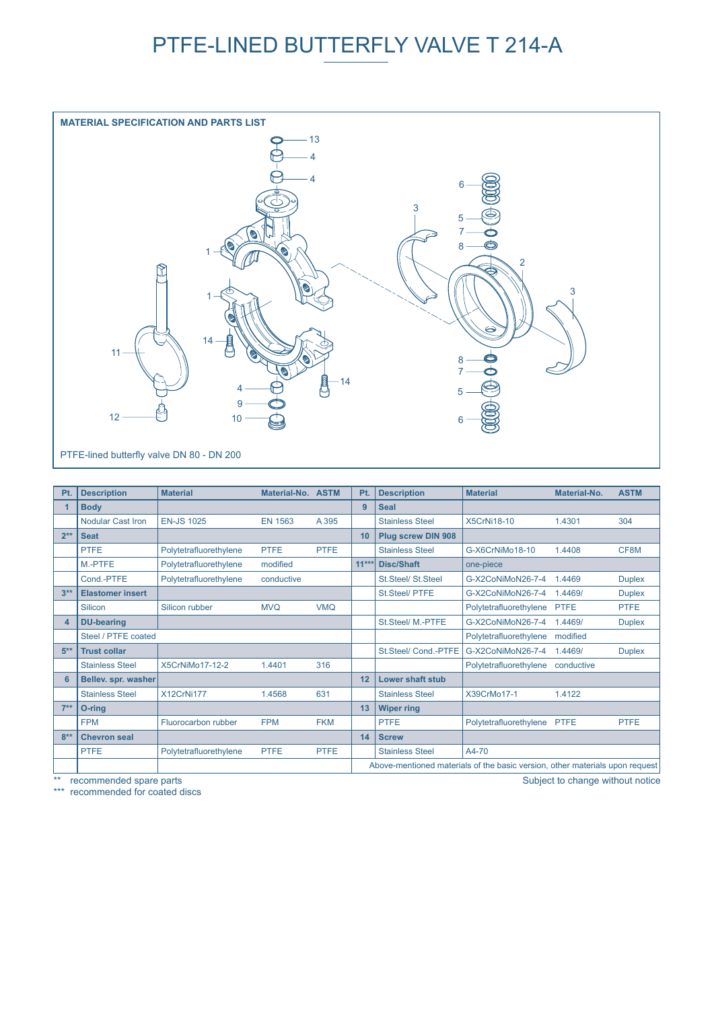## PTFE-LINED BUTTERFLY VALVE T 214-A



| Pt.    | <b>Description</b>       | <b>Material</b>        | Material-No. ASTM |             | Pt.     | <b>Description</b>        | <b>Material</b>                                                              | Material-No. | <b>ASTM</b>   |  |  |  |  |
|--------|--------------------------|------------------------|-------------------|-------------|---------|---------------------------|------------------------------------------------------------------------------|--------------|---------------|--|--|--|--|
|        | <b>Body</b>              |                        |                   |             | 9       | <b>Seal</b>               |                                                                              |              |               |  |  |  |  |
|        | <b>Nodular Cast Iron</b> | <b>EN-JS 1025</b>      | <b>EN 1563</b>    | A 395       |         | <b>Stainless Steel</b>    | <b>X5CrNi18-10</b>                                                           | 1.4301       | 304           |  |  |  |  |
| $2**$  | <b>Seat</b>              |                        |                   |             | 10      | <b>Plug screw DIN 908</b> |                                                                              |              |               |  |  |  |  |
|        | <b>PTFE</b>              | Polytetrafluorethylene | <b>PTFE</b>       | <b>PTFE</b> |         | <b>Stainless Steel</b>    | G-X6CrNiMo18-10                                                              | 1.4408       | CF8M          |  |  |  |  |
|        | M <sub>-PTFE</sub>       | Polytetrafluorethylene | modified          |             | $11***$ | Disc/Shaft                | one-piece                                                                    |              |               |  |  |  |  |
|        | Cond.-PTFE               | Polytetrafluorethylene | conductive        |             |         | St.Steel/ St.Steel        | G-X2CoNiMoN26-7-4                                                            | 1.4469       | <b>Duplex</b> |  |  |  |  |
| $3**$  | <b>Elastomer insert</b>  |                        |                   |             |         | St.Steel/ PTFE            | G-X2CoNiMoN26-7-4                                                            | 1.4469/      | <b>Duplex</b> |  |  |  |  |
|        | Silicon                  | Silicon rubber         | <b>MVQ</b>        | <b>VMQ</b>  |         |                           | Polytetrafluorethylene                                                       | <b>PTFE</b>  | <b>PTFE</b>   |  |  |  |  |
| 4      | <b>DU-bearing</b>        |                        |                   |             |         | St.Steel/ M.-PTFE         | G-X2CoNiMoN26-7-4                                                            | 1.4469/      | <b>Duplex</b> |  |  |  |  |
|        | Steel / PTFE coated      |                        |                   |             |         |                           | Polytetrafluorethylene                                                       | modified     |               |  |  |  |  |
| $5***$ | <b>Trust collar</b>      |                        |                   |             |         | St.Steel/ Cond.-PTFE      | G-X2CoNiMoN26-7-4                                                            | 1.4469/      | <b>Duplex</b> |  |  |  |  |
|        | <b>Stainless Steel</b>   | X5CrNiMo17-12-2        | 1.4401            | 316         |         |                           | Polytetrafluorethylene                                                       | conductive   |               |  |  |  |  |
|        | Bellev. spr. washer      |                        |                   |             | 12      | <b>Lower shaft stub</b>   |                                                                              |              |               |  |  |  |  |
|        | <b>Stainless Steel</b>   | X12CrNi177             | 1.4568            | 631         |         | <b>Stainless Steel</b>    | X39CrMo17-1                                                                  | 1.4122       |               |  |  |  |  |
| $7**$  | O-rina                   |                        |                   |             | 13      | <b>Wiper ring</b>         |                                                                              |              |               |  |  |  |  |
|        | <b>FPM</b>               | Fluorocarbon rubber    | <b>FPM</b>        | <b>FKM</b>  |         | <b>PTFE</b>               | Polytetrafluorethylene                                                       | <b>PTFE</b>  | <b>PTFE</b>   |  |  |  |  |
| $8**$  | <b>Chevron seal</b>      |                        |                   |             | 14      | <b>Screw</b>              |                                                                              |              |               |  |  |  |  |
|        | <b>PTFE</b>              | Polytetrafluorethylene | <b>PTFE</b>       | <b>PTFE</b> |         | <b>Stainless Steel</b>    | A4-70                                                                        |              |               |  |  |  |  |
|        |                          |                        |                   |             |         |                           | Above-mentioned materials of the basic version, other materials upon request |              |               |  |  |  |  |

\*\* recommended spare parts Subject to change without notice states are set of the subject to change without notice

\*\*\* recommended for coated discs